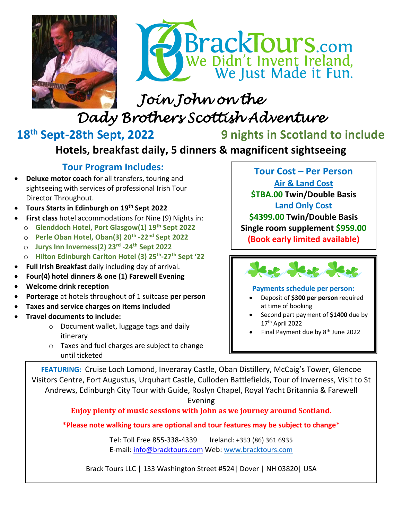



# *Join John on the Dady Brothers Scottish Adventure*

## 18<sup>th</sup> Sept-28th Sept, 2022

**g** nights in Scotland to include

### **Hotels, breakfast daily, 5 dinners & magnificent sightseeing**

### **Tour Program Includes:**

- **Deluxe motor coach** for all transfers, touring and sightseeing with services of professional Irish Tour Director Throughout.
- **Tours Starts in Edinburgh on 19 th Sept 2022**
- **First class** hotel accommodations for Nine (9) Nights in:
	- o **Glenddoch Hotel, Port Glasgow(1) 19 th Sept 2022**
	- o **Perle Oban Hotel, Oban(3) 20th -22nd Sept 2022**
	- o **Jurys Inn Inverness(2) 23rd -24th Sept 2022**
	- o **Hilton Edinburgh Carlton Hotel (3) 25th -27 th Sept '22**
- **Full Irish Breakfast** daily including day of arrival.
- **Four(4) hotel dinners & one (1) Farewell Evening**
- **Welcome drink reception**
- **Porterage** at hotels throughout of 1 suitcase **per person**
- **Taxes and service charges on items included**
- **Travel documents to include:** 
	- o Document wallet, luggage tags and daily itinerary
	- o Taxes and fuel charges are subject to change until ticketed

**Tour Cost – Per Person Air & Land Cost \$TBA.00 Twin/Double Basis Land Only Cost \$4399.00 Twin/Double Basis Single room supplement \$959.00 (Book early limited available)**



#### **Payments schedule per person:**

- Deposit of **\$300 per person** required at time of booking
- Second part payment of **\$1400** due by 17 th April 2022
- Final Payment due by 8<sup>th</sup> June 2022

FEATURING: Cruise Loch Lomond, Inveraray Castle, Oban Distillery, McCaig's Tower, Glencoe Visitors Centre, Fort Augustus, Urquhart Castle, Culloden Battlefields, Tour of Inverness, Visit to St Andrews, Edinburgh City Tour with Guide, Roslyn Chapel, Royal Yacht Britannia & Farewell

Evening

**Enjoy plenty of music sessions with John as we journey around Scotland.**

**\*Please note walking tours are optional and tour features may be subject to change\*** 

Tel: Toll Free 855-338-4339 Ireland: +353 (86) 361 6935 E-mail: [info@bracktours.com](mailto:info@bracktours.com) Web: [www.bracktours.com](http://www.bracktours.com/)

Brack Tours LLC | 133 Washington Street #524| Dover | NH 03820| USA